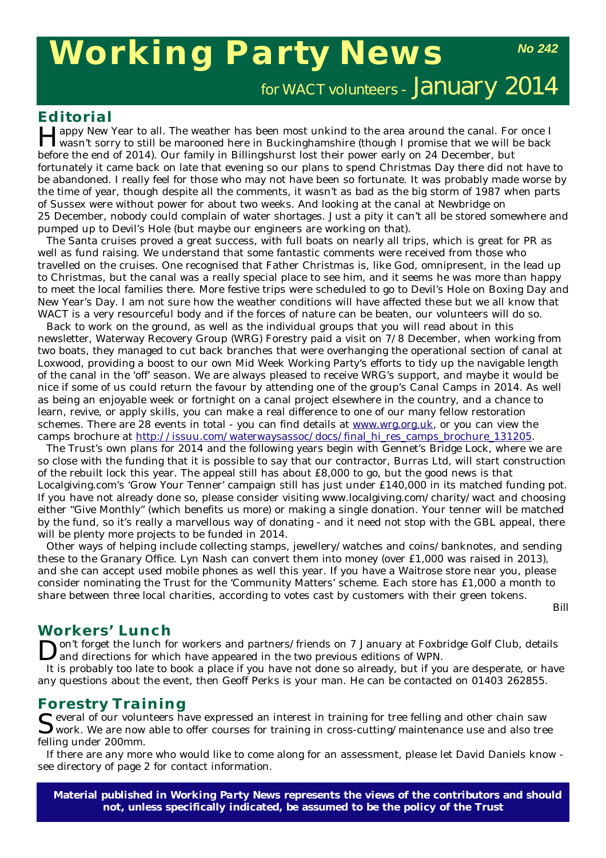# **Working Party News**

*No 242*

for WACT volunteers - January 2014

**Editorial**<br>**T** Tappy New Year to all. The weather has been most unkind to the area around the canal. For once I Happy New Year to all. The weather has been most unkind to the area around the canal. For once I wasn't sorry to still be marooned here in Buckinghamshire (though I promise that we *will* be back before the end of 2014). Our family in Billingshurst lost their power early on 24 December, but fortunately it came back on late that evening so our plans to spend Christmas Day there did not have to be abandoned. I really feel for those who may not have been so fortunate. It was probably made worse by the time of year, though despite all the comments, it wasn't as bad as the big storm of 1987 when parts of Sussex were without power for about two weeks. And looking at the canal at Newbridge on 25 December, nobody could complain of water shortages. Just a pity it can't all be stored somewhere and pumped up to Devil's Hole (but maybe our engineers are working on that).

The Santa cruises proved a great success, with full boats on nearly all trips, which is great for PR as well as fund raising. We understand that some fantastic comments were received from those who travelled on the cruises. One recognised that Father Christmas is, like God, omnipresent, in the lead up to Christmas, but the canal was a really special place to see him, and it seems he was more than happy to meet the local families there. More festive trips were scheduled to go to Devil's Hole on Boxing Day and New Year's Day. I am not sure how the weather conditions will have affected these but we all know that WACT is a very resourceful body and if the forces of nature can be beaten, our volunteers will do so.

Back to work on the ground, as well as the individual groups that you will read about in this newsletter, Waterway Recovery Group (WRG) Forestry paid a visit on 7/8 December, when working from two boats, they managed to cut back branches that were overhanging the operational section of canal at Loxwood, providing a boost to our own Mid Week Working Party's efforts to tidy up the navigable length of the canal in the 'off' season. We are always pleased to receive WRG's support, and maybe it would be nice if some of us could return the favour by attending one of the group's Canal Camps in 2014. As well as being an enjoyable week or fortnight on a canal project elsewhere in the country, and a chance to learn, revive, or apply skills, you can make a real difference to one of our many fellow restoration schemes. There are 28 events in total - you can find details at www.wrg.org.uk, or you can view the camps brochure at http://issuu.com/waterwaysassoc/docs/final\_hi\_res\_camps\_brochure\_131205.

The Trust's own plans for 2014 and the following years begin with Gennet's Bridge Lock, where we are so close with the funding that it is possible to say that our contractor, Burras Ltd, will start construction of the rebuilt lock this year. The appeal still has about £8,000 to go, but the good news is that Localgiving.com's 'Grow Your Tenner' campaign still has just under £140,000 in its matched funding pot. If you have not already done so, please consider visiting www.localgiving.com/charity/wact and choosing either "Give Monthly" (which benefits us more) or making a single donation. Your tenner will be matched by the fund, so it's really a marvellous way of donating - and it need not stop with the GBL appeal, there will be plenty more projects to be funded in 2014.

Other ways of helping include collecting stamps, jewellery/watches and coins/banknotes, and sending these to the Granary Office. Lyn Nash can convert them into money (over £1,000 was raised in 2013), and she can accept used mobile phones as well this year. If you have a Waitrose store near you, please consider nominating the Trust for the 'Community Matters' scheme. Each store has £1,000 a month to share between three local charities, according to votes cast by customers with their green tokens.

*Bill*

### **Workers' Lunch**

Don't forget the lunch for workers and partners/friends on 7 January at Foxbridge Golf Club, details and directions for which have appeared in the two previous editions of WPN.

It is probably too late to book a place if you have not done so already, but if you are desperate, or have any questions about the event, then Geoff Perks is your man. He can be contacted on 01403 262855.

**Forestry Training**<br> **C**everal of our volunteers have expressed an interest in training for tree felling and other chain saw Several of our volunteers have expressed an interest in training for tree felling and other chain saw work. We are now able to offer courses for training in cross-cutting/maintenance use and also tree felling under 200mm.

If there are any more who would like to come along for an assessment, please let David Daniels know see directory of page 2 for contact information.

**Material published in** *Working Party News* **represents the views of the contributors and should not, unless specifically indicated, be assumed to be the policy of the Trust**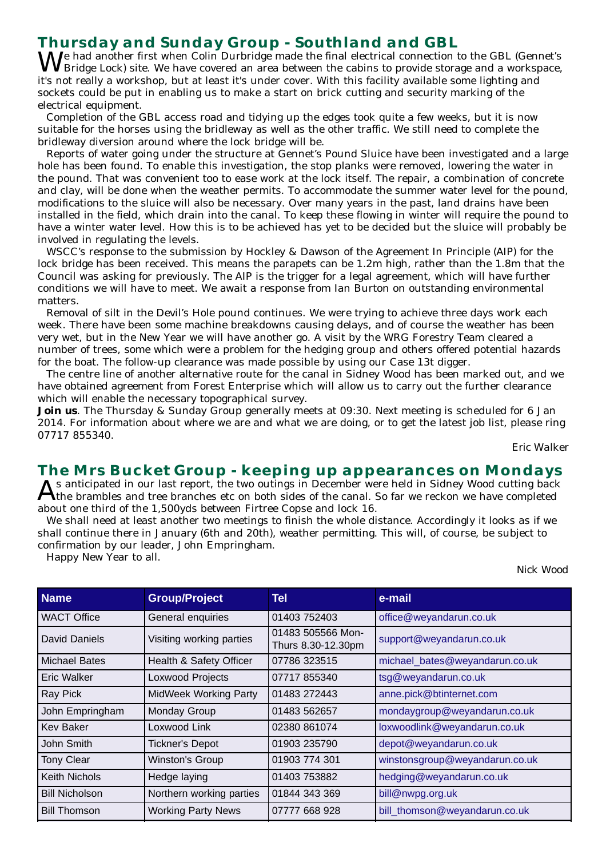### **Thursday and Sunday Group - Southland and GBL**

 $N$  Je had another first when Colin Durbridge made the final electrical connection to the GBL (Gennet's Bridge Lock) site. We have covered an area between the cabins to provide storage and a workspace, it's not really a workshop, but at least it's under cover. With this facility available some lighting and sockets could be put in enabling us to make a start on brick cutting and security marking of the electrical equipment.

Completion of the GBL access road and tidying up the edges took quite a few weeks, but it is now suitable for the horses using the bridleway as well as the other traffic. We still need to complete the bridleway diversion around where the lock bridge will be.

Reports of water going under the structure at Gennet's Pound Sluice have been investigated and a large hole has been found. To enable this investigation, the stop planks were removed, lowering the water in the pound. That was convenient too to ease work at the lock itself. The repair, a combination of concrete and clay, will be done when the weather permits. To accommodate the summer water level for the pound, modifications to the sluice will also be necessary. Over many years in the past, land drains have been installed in the field, which drain into the canal. To keep these flowing in winter will require the pound to have a winter water level. How this is to be achieved has yet to be decided but the sluice will probably be involved in regulating the levels.

WSCC's response to the submission by Hockley & Dawson of the Agreement In Principle (AIP) for the lock bridge has been received. This means the parapets can be 1.2m high, rather than the 1.8m that the Council was asking for previously. The AIP is the trigger for a legal agreement, which will have further conditions we will have to meet. We await a response from Ian Burton on outstanding environmental matters.

Removal of silt in the Devil's Hole pound continues. We were trying to achieve three days work each week. There have been some machine breakdowns causing delays, and of course the weather has been very wet, but in the New Year we will have another go. A visit by the WRG Forestry Team cleared a number of trees, some which were a problem for the hedging group and others offered potential hazards for the boat. The follow-up clearance was made possible by using our Case 13t digger.

The centre line of another alternative route for the canal in Sidney Wood has been marked out, and we have obtained agreement from Forest Enterprise which will allow us to carry out the further clearance which will enable the necessary topographical survey.

**Join us**. The Thursday & Sunday Group generally meets at 09:30. Next meeting is scheduled for 6 Jan 2014. For information about where we are and what we are doing, or to get the latest job list, please ring 07717 855340.

*Eric Walker*

#### **The Mrs Bucket Group - keeping up appearances on Mondays**

As anticipated in our last report, the two outings in December were held in Sidney Wood cutting back<br>A the brambles and tree branches etc on both sides of the canal. So far we reckon we have completed about one third of the 1,500yds between Firtree Copse and lock 16.

We shall need at least another two meetings to finish the whole distance. Accordingly it looks as if we shall continue there in January (6th and 20th), weather permitting. This will, of course, be subject to confirmation by our leader, John Empringham.

Happy New Year to all.

*Nick Wood*

| <b>Name</b>           | <b>Group/Project</b>         | Tel                                     | e-mail                         |
|-----------------------|------------------------------|-----------------------------------------|--------------------------------|
| <b>WACT Office</b>    | General enquiries            | 01403 752403                            | office@weyandarun.co.uk        |
| David Daniels         | Visiting working parties     | 01483 505566 Mon-<br>Thurs 8.30-12.30pm | support@weyandarun.co.uk       |
| <b>Michael Bates</b>  | Health & Safety Officer      | 07786 323515                            | michael_bates@weyandarun.co.uk |
| Eric Walker           | Loxwood Projects             | 07717 855340                            | tsg@weyandarun.co.uk           |
| Ray Pick              | <b>MidWeek Working Party</b> | 01483 272443                            | anne.pick@btinternet.com       |
| John Empringham       | Monday Group                 | 01483 562657                            | mondaygroup@weyandarun.co.uk   |
| <b>Kev Baker</b>      | Loxwood Link                 | 02380 861074                            | loxwoodlink@weyandarun.co.uk   |
| John Smith            | <b>Tickner's Depot</b>       | 01903 235790                            | depot@weyandarun.co.uk         |
| <b>Tony Clear</b>     | Winston's Group              | 01903 774 301                           | winstonsgroup@weyandarun.co.uk |
| <b>Keith Nichols</b>  | Hedge laying                 | 01403 753882                            | hedging@weyandarun.co.uk       |
| <b>Bill Nicholson</b> | Northern working parties     | 01844 343 369                           | bill@nwpg.org.uk               |
| <b>Bill Thomson</b>   | <b>Working Party News</b>    | 07777 668 928                           | bill_thomson@weyandarun.co.uk  |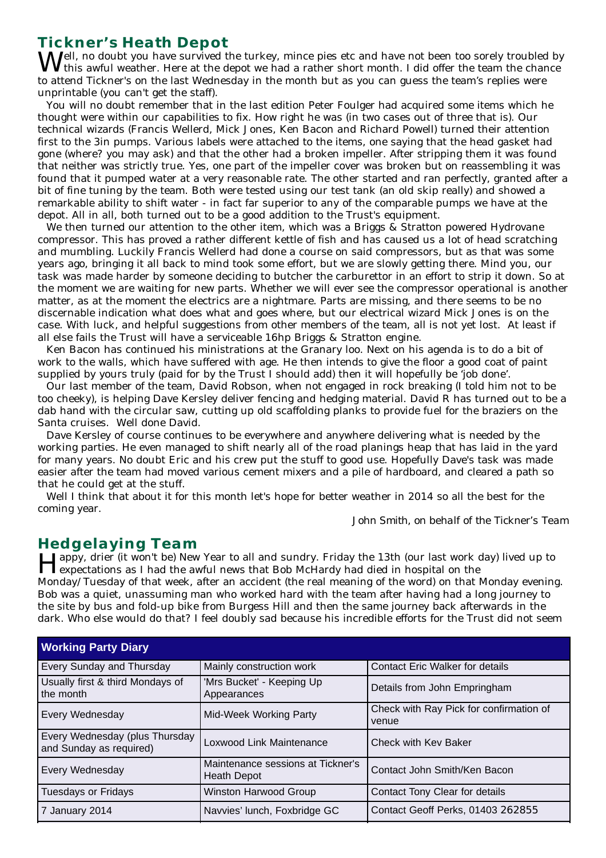### **Tickner's Heath Depot**

 $\bm{M}$ ell, no doubt you have survived the turkey, mince pies etc and have not been too sorely troubled by this awful weather. Here at the depot we had a rather short month. I did offer the team the chance to attend Tickner's on the last Wednesday in the month but as you can guess the team's replies were unprintable (you can't get the staff).

You will no doubt remember that in the last edition Peter Foulger had acquired some items which he thought were within our capabilities to fix. How right he was (in two cases out of three that is). Our technical wizards (Francis Wellerd, Mick Jones, Ken Bacon and Richard Powell) turned their attention first to the 3in pumps. Various labels were attached to the items, one saying that the head gasket had gone (where? you may ask) and that the other had a broken impeller. After stripping them it was found that neither was strictly true. Yes, one part of the impeller cover was broken but on reassembling it was found that it pumped water at a very reasonable rate. The other started and ran perfectly, granted after a bit of fine tuning by the team. Both were tested using our test tank (an old skip really) and showed a remarkable ability to shift water - in fact far superior to any of the comparable pumps we have at the depot. All in all, both turned out to be a good addition to the Trust's equipment.

We then turned our attention to the other item, which was a Briggs & Stratton powered Hydrovane compressor. This has proved a rather different kettle of fish and has caused us a lot of head scratching and mumbling. Luckily Francis Wellerd had done a course on said compressors, but as that was some years ago, bringing it all back to mind took some effort, but we are slowly getting there. Mind you, our task was made harder by someone deciding to butcher the carburettor in an effort to strip it down. So at the moment we are waiting for new parts. Whether we will ever see the compressor operational is another matter, as at the moment the electrics are a nightmare. Parts are missing, and there seems to be no discernable indication what does what and goes where, but our electrical wizard Mick Jones is on the case. With luck, and helpful suggestions from other members of the team, all is not yet lost. At least if all else fails the Trust will have a serviceable 16hp Briggs & Stratton engine.

Ken Bacon has continued his ministrations at the Granary loo. Next on his agenda is to do a bit of work to the walls, which have suffered with age. He then intends to give the floor a good coat of paint supplied by yours truly (paid for by the Trust I should add) then it will hopefully be 'job done'.

Our last member of the team, David Robson, when not engaged in rock breaking (I told him not to be too cheeky), is helping Dave Kersley deliver fencing and hedging material. David R has turned out to be a dab hand with the circular saw, cutting up old scaffolding planks to provide fuel for the braziers on the Santa cruises. Well done David.

Dave Kersley of course continues to be everywhere and anywhere delivering what is needed by the working parties. He even managed to shift nearly all of the road planings heap that has laid in the yard for many years. No doubt Eric and his crew put the stuff to good use. Hopefully Dave's task was made easier after the team had moved various cement mixers and a pile of hardboard, and cleared a path so that he could get at the stuff.

Well I think that about it for this month let's hope for better weather in 2014 so all the best for the coming year.

*John Smith, on behalf of the Tickner's Team*

### **Hedgelaying Team**

Happy, drier (it won't be) New Year to all and sundry. Friday the 13th (our last work day) lived up to expectations as I had the awful news that Bob McHardy had died in hospital on the Monday/Tuesday of that week, after an accident (the real meaning of the word) on that Monday evening. Bob was a quiet, unassuming man who worked hard with the team after having had a long journey to the site by bus and fold-up bike from Burgess Hill and then the same journey back afterwards in the dark. Who else would do that? I feel doubly sad because his incredible efforts for the Trust did not seem

| <b>Working Party Diary</b>                                |                                                         |                                                  |  |  |
|-----------------------------------------------------------|---------------------------------------------------------|--------------------------------------------------|--|--|
| Every Sunday and Thursday                                 | Mainly construction work                                | <b>Contact Eric Walker for details</b>           |  |  |
| Usually first & third Mondays of<br>the month             | 'Mrs Bucket' - Keeping Up<br>Appearances                | Details from John Empringham                     |  |  |
| Every Wednesday                                           | Mid-Week Working Party                                  | Check with Ray Pick for confirmation of<br>venue |  |  |
| Every Wednesday (plus Thursday<br>and Sunday as required) | Loxwood Link Maintenance                                | <b>Check with Kev Baker</b>                      |  |  |
| Every Wednesday                                           | Maintenance sessions at Tickner's<br><b>Heath Depot</b> | Contact John Smith/Ken Bacon                     |  |  |
| <b>Tuesdays or Fridays</b>                                | <b>Winston Harwood Group</b>                            | Contact Tony Clear for details                   |  |  |
| 7 January 2014                                            | Navvies' lunch, Foxbridge GC                            | Contact Geoff Perks, 01403 262855                |  |  |